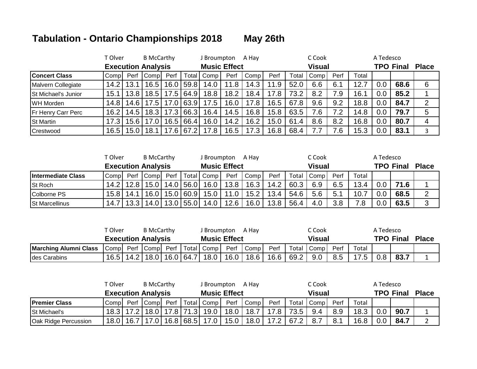## **Tabulation - Ontario Championships 2018 May 26th**

|                            | T Olver           |              | <b>B</b> McCarthy         |      | A Hay<br>J Broumpton |                     |      |      |      |       |               | A Tedesco |       |     |                  |              |
|----------------------------|-------------------|--------------|---------------------------|------|----------------------|---------------------|------|------|------|-------|---------------|-----------|-------|-----|------------------|--------------|
|                            |                   |              | <b>Execution Analysis</b> |      |                      | <b>Music Effect</b> |      |      |      |       | <b>Visual</b> |           |       |     | <b>TPO Final</b> | <b>Place</b> |
| <b>Concert Class</b>       | Comp              | Perf         | <b>Comp</b>               | Perf |                      | Total Comp          | Perf | Comp | Perf | Total | Comp          | Perf      | Total |     |                  |              |
| Malvern Collegiate         | 14.2 <sub>1</sub> | 13.1         | 16.5                      |      | $16.0$   59.8        | 14.0                | 11.8 | 14.3 | 11.9 | 52.0  | 6.6           | 6.1       | 12.7  | 0.C | 68.6             | 6            |
| <b>St Michael's Junior</b> | 15.1              | $\vert$ 13.8 | 18.5                      | 17.5 | 64.9                 | 18.8                | 18.2 | 18.4 | 17.8 | 73.2  | 8.2           | 7.9       | 16.1  | 0.0 | 85.2             |              |
| <b>WH Morden</b>           | 14.81             | 14.6         | 17.5                      | 17.0 | 63.9                 | 17.5                | 16.0 | 17.8 | 16.5 | 67.8  | 9.6           | 9.2       | 18.8  | 0.0 | 84.7             | 2            |
| <b>Fr Henry Carr Perc</b>  | 16.2              | 14.5         | 18.3                      | 17.3 | 66.3                 | 16.4                | 14.5 | 16.8 | 15.8 | 63.5  | 7.6           | 7.2       | 14.8  | 0.0 | 79.7             | 5            |
| <b>St Martin</b>           |                   | 15.6         | 17.0                      | 16.5 | 66.4                 | 16.0                | 14.2 | 16.2 | 15.0 | 61.4  | 8.6           | 8.2       | 16.8  | 0.0 | 80.7             | 4            |
| Crestwood                  | 16.5              | 15.0         | 18.1                      | 17.6 | 67.2                 | 17.8                | 16.5 | 17.3 | 16.8 | 68.4  | 7.7           | 7.6       | 15.3  | 0.0 | 83.1             |              |

|                           | T Olver |                           | <b>B</b> McCarthy |      |             | J Broumpton         |      | A Hav |      |       | C Cook        |      |       | A Tedesco |                  |              |
|---------------------------|---------|---------------------------|-------------------|------|-------------|---------------------|------|-------|------|-------|---------------|------|-------|-----------|------------------|--------------|
|                           |         | <b>Execution Analysis</b> |                   |      |             | <b>Music Effect</b> |      |       |      |       | <b>Visual</b> |      |       |           | <b>TPO Final</b> | <b>Place</b> |
| <b>Intermediate Class</b> | Compl   | Perf                      | <b>ICompl</b>     | Perf |             | Total   Comp        | Perf | Comp  | Perf | Total | I Comp i      | Perf | Total |           |                  |              |
| <b>St Roch</b>            | 14.21   | 12.8                      | 15.0              |      | 14.0 56.0   | 16.0                | 13.8 | 16.3  | 14.2 | 60.3  | 6.9           | 6.5  | 13.4  | $0.0\,$   | 71.6             |              |
| Colborne PS               | 15.8    | 14.1                      | 16.0              |      | $15.0$ 60.9 | 15.0                | 11.0 | 15.2  | 13.4 | 54.6  | 5.6           | 5.1  | 10.7  | 0.0       | 68.5             |              |
| <b>St Marcellinus</b>     | 14.7    | 122                       | 14.0              |      | $13.0$ 55.0 | 14.0                | 12.6 | 16.0  | 13.8 | 56.4  | 4.0           | 3.8  | 7.8   | 0.0       | 63.5             | ◠            |

|                              | Г Olver | <b>B</b> McCarthy         |             | J Broumpton         |      | A Hav             |      |       | ∩Cook  |      |       | A Tedesco |                  |              |
|------------------------------|---------|---------------------------|-------------|---------------------|------|-------------------|------|-------|--------|------|-------|-----------|------------------|--------------|
|                              |         | <b>Execution Analysis</b> |             | <b>Music Effect</b> |      |                   |      |       | Visual |      |       |           | <b>TPO Final</b> | <b>Place</b> |
| <b>Marching Alumni Class</b> | l Compl | Perf Compl                |             | Perf   Total   Comp | Perf | Comp <sub>1</sub> | Perf | Total | Comp   | Perf | Total |           |                  |              |
| <b>Ides Carabins</b>         | 16.51   | $14.2$   18.0             | $16.0$ 64.7 | 18.0                | 16.0 | 18.6              | 16.6 | 69.2  | 9.0    | 8.5  | 17.5  | 0.8       | 83.7             |              |

|                      | T Olver       | <b>B</b> McCarthy         |             |             | J Broumpton         |      | A Hav             |      |       | C Cook |      |       | A Tedesco |                  |              |
|----------------------|---------------|---------------------------|-------------|-------------|---------------------|------|-------------------|------|-------|--------|------|-------|-----------|------------------|--------------|
|                      |               | <b>Execution Analysis</b> |             |             | <b>Music Effect</b> |      |                   |      |       | Visual |      |       |           | <b>TPO Final</b> | <b>Place</b> |
| <b>Premier Class</b> | Comp          | Perf Compl                | Perf        |             | Total Comp          | Perf | Comp <sub>1</sub> | Perf | Total | Comp   | Perf | Total |           |                  |              |
| St Michael's         | $18.3$   17.2 | 18.0 l                    | $17.8$ 71.3 |             | 19.0                | 18.0 | 18.7              | 17.8 | 73.5  | 9.4    | 8.9  | 18.3  | 0.0       | 90.7             |              |
| Oak Ridge Percussion | 18.0   16.7   |                           |             | $16.8$ 68.5 | 17.0                | 15.0 | 18.0              | 17.2 | 67.2  | 8.7    | 8.1  | 16.8  | 0.0       | 84.7             |              |